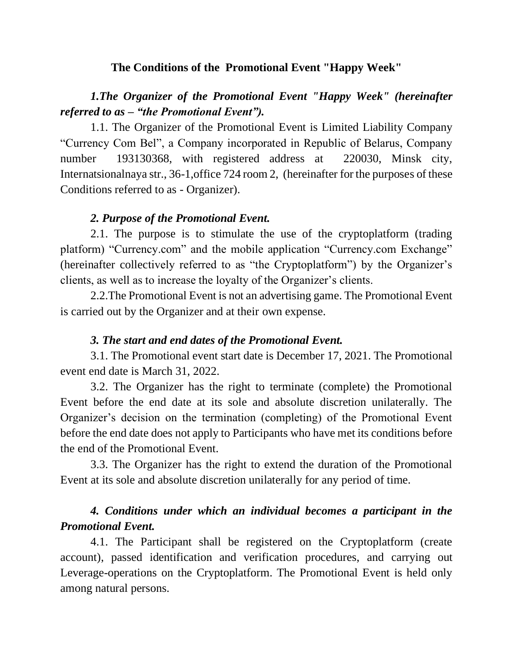### **The Conditions of the Promotional Event "Happy Week"**

# *1.The Organizer of the Promotional Event "Happy Week" (hereinafter referred to as – "the Promotional Event").*

1.1. The Organizer of the Promotional Event is Limited Liability Company "Currency Com Bel", a Company incorporated in Republic of Belarus, Company number 193130368, with registered address at 220030, Minsk city, Internatsionalnaya str., 36-1,office 724 room 2, (hereinafter for the purposes of these Conditions referred to as - Organizer).

#### *2. Purpose of the Promotional Event.*

2.1. The purpose is to stimulate the use of the cryptoplatform (trading platform) "Currency.com" and the mobile application "Currency.com Exchange" (hereinafter collectively referred to as "the Cryptoplatform") by the Organizer's clients, as well as to increase the loyalty of the Organizer's clients.

2.2.The Promotional Event is not an advertising game. The Promotional Event is carried out by the Organizer and at their own expense.

#### *3. The start and end dates of the Promotional Event.*

3.1. The Promotional event start date is December 17, 2021. The Promotional event end date is March 31, 2022.

3.2. The Organizer has the right to terminate (complete) the Promotional Event before the end date at its sole and absolute discretion unilaterally. The Organizer's decision on the termination (completing) of the Promotional Event before the end date does not apply to Participants who have met its conditions before the end of the Promotional Event.

3.3. The Organizer has the right to extend the duration of the Promotional Event at its sole and absolute discretion unilaterally for any period of time.

# *4. Conditions under which an individual becomes a participant in the Promotional Event.*

4.1. The Participant shall be registered on the Cryptoplatform (create account), passed identification and verification procedures, and carrying out Leverage-operations on the Cryptoplatform. The Promotional Event is held only among natural persons.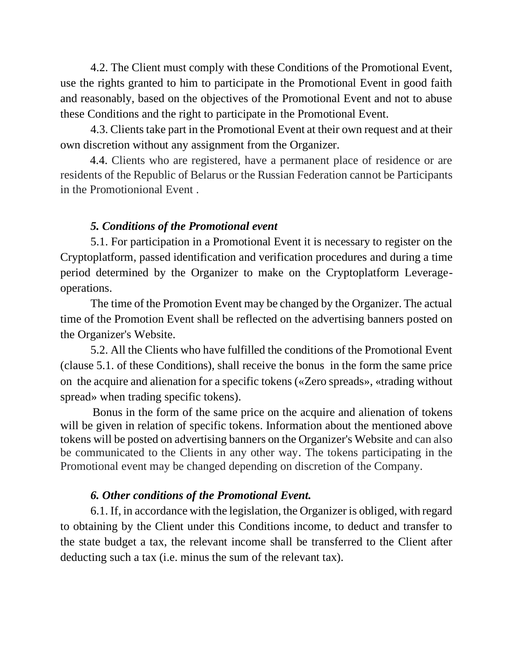4.2. The Client must comply with these Conditions of the Promotional Event, use the rights granted to him to participate in the Promotional Event in good faith and reasonably, based on the objectives of the Promotional Event and not to abuse these Conditions and the right to participate in the Promotional Event.

4.3. Clients take part in the Promotional Event at their own request and at their own discretion without any assignment from the Organizer.

4.4. Clients who are registered, have a permanent place of residence or are residents of the Republic of Belarus or the Russian Federation cannot be Participants in the Promotionional Event .

### *5. Conditions of the Promotional event*

5.1. For participation in a Promotional Event it is necessary to register on the Cryptoplatform, passed identification and verification procedures and during a time period determined by the Organizer to make on the Cryptoplatform Leverageoperations.

The time of the Promotion Event may be changed by the Organizer. The actual time of the Promotion Event shall be reflected on the advertising banners posted on the Organizer's Website.

5.2. All the Clients who have fulfilled the conditions of the Promotional Event (clause 5.1. of these Conditions), shall receive the bonus in the form the same price on the acquire and alienation for a specific tokens («Zero spreads», «trading without spread» when trading specific tokens).

 Bonus in the form of the same price on the acquire and alienation of tokens will be given in relation of specific tokens. Information about the mentioned above tokens will be posted on advertising banners on the Organizer's Website and can also be communicated to the Clients in any other way. The tokens participating in the Promotional event may be changed depending on discretion of the Company.

## *6. Other conditions of the Promotional Event.*

6.1. If, in accordance with the legislation, the Organizer is obliged, with regard to obtaining by the Client under this Conditions income, to deduct and transfer to the state budget a tax, the relevant income shall be transferred to the Client after deducting such a tax (i.e. minus the sum of the relevant tax).